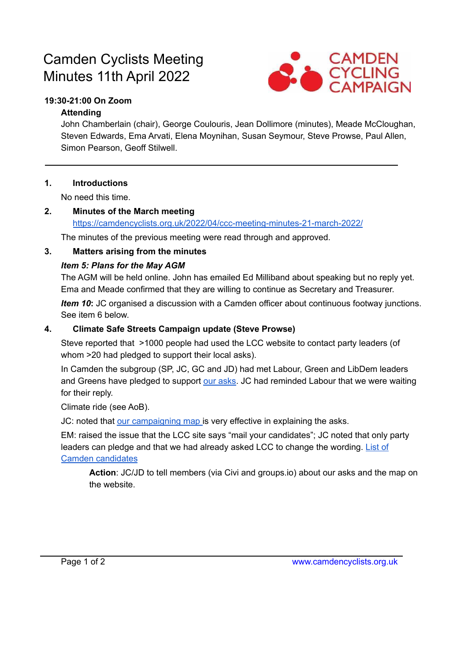# Camden Cyclists Meeting Minutes 11th April 2022



## **19:30-21:00 On Zoom**

#### **Attending**

John Chamberlain (chair), George Coulouris, Jean Dollimore (minutes), Meade McCloughan, Steven Edwards, Ema Arvati, Elena Moynihan, Susan Seymour, Steve Prowse, Paul Allen, Simon Pearson, Geoff Stilwell.

#### **1. Introductions**

No need this time.

#### **2. Minutes of the March meeting** <https://camdencyclists.org.uk/2022/04/ccc-meeting-minutes-21-march-2022/>

The minutes of the previous meeting were read through and approved.

## **3. Matters arising from the minutes**

## *Item 5: Plans for the May AGM*

The AGM will be held online. John has emailed Ed Milliband about speaking but no reply yet. Ema and Meade confirmed that they are willing to continue as Secretary and Treasurer.

*Item 10*: JC organised a discussion with a Camden officer about continuous footway junctions. See item 6 below.

## **4. Climate Safe Streets Campaign update (Steve Prowse)**

Steve reported that >1000 people had used the LCC website to contact party leaders (of whom >20 had pledged to support their local asks).

In Camden the subgroup (SP, JC, GC and JD) had met Labour, Green and LibDem leaders and Greens have pledged to support our [asks.](https://camdencyclists.org.uk/2022/02/our-asks-for-the-may-2022-council-elections/) JC had reminded Labour that we were waiting for their reply.

Climate ride (see AoB).

JC: noted that our [campaigning](https://maphub.net/CamdenCyclists/CSstreets) map is very effective in explaining the asks.

EM: raised the issue that the LCC site says "mail your candidates"; JC noted that only party leaders can pledge and that we had already asked LCC to change the wording. [List](https://docs.google.com/spreadsheets/d/1UPRYkm25AjpGMrfgmOxUzZORxKuVjPpEjeWHgVEdDus/edit?usp=sharing) of Camden [candidates](https://docs.google.com/spreadsheets/d/1UPRYkm25AjpGMrfgmOxUzZORxKuVjPpEjeWHgVEdDus/edit?usp=sharing)

**Action**: JC/JD to tell members (via Civi and groups.io) about our asks and the map on the website.